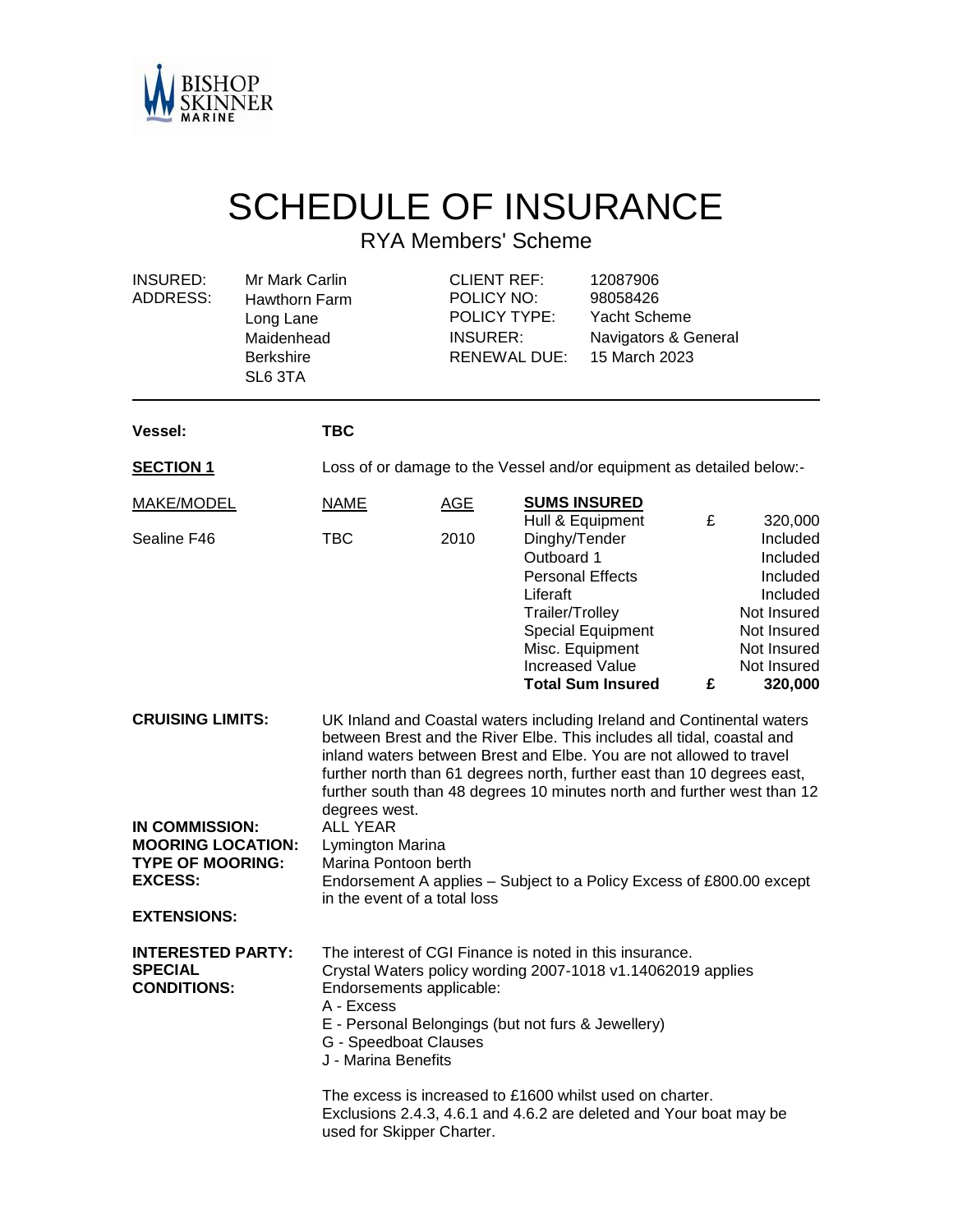

## SCHEDULE OF INSURANCE

RYA Members' Scheme

| <b>INSURED:</b><br><b>ADDRESS:</b>                                                          | Mr Mark Carlin<br>Hawthorn Farm<br>Long Lane<br>Maidenhead<br><b>Berkshire</b><br>SL6 3TA |                                                                                                                                                                                                                                                                                                                                                                                                                                       | <b>CLIENT REF:</b><br>POLICY NO:<br>POLICY TYPE:<br><b>INSURER:</b><br><b>RENEWAL DUE:</b> |                                                                                                                             | 12087906<br>98058426<br>Yacht Scheme<br>Navigators & General<br>15 March 2023 |   |                                                                                                                     |
|---------------------------------------------------------------------------------------------|-------------------------------------------------------------------------------------------|---------------------------------------------------------------------------------------------------------------------------------------------------------------------------------------------------------------------------------------------------------------------------------------------------------------------------------------------------------------------------------------------------------------------------------------|--------------------------------------------------------------------------------------------|-----------------------------------------------------------------------------------------------------------------------------|-------------------------------------------------------------------------------|---|---------------------------------------------------------------------------------------------------------------------|
| <b>Vessel:</b>                                                                              |                                                                                           | <b>TBC</b>                                                                                                                                                                                                                                                                                                                                                                                                                            |                                                                                            |                                                                                                                             |                                                                               |   |                                                                                                                     |
| <b>SECTION 1</b>                                                                            |                                                                                           | Loss of or damage to the Vessel and/or equipment as detailed below:-                                                                                                                                                                                                                                                                                                                                                                  |                                                                                            |                                                                                                                             |                                                                               |   |                                                                                                                     |
| <b>MAKE/MODEL</b>                                                                           |                                                                                           | NAME                                                                                                                                                                                                                                                                                                                                                                                                                                  | AGE                                                                                        | <b>SUMS INSURED</b><br>Hull & Equipment                                                                                     |                                                                               | £ | 320,000                                                                                                             |
| Sealine F46                                                                                 |                                                                                           | TBC                                                                                                                                                                                                                                                                                                                                                                                                                                   | 2010                                                                                       | Dinghy/Tender<br>Outboard 1<br><b>Personal Effects</b><br>Liferaft<br>Trailer/Trolley<br>Misc. Equipment<br>Increased Value | Special Equipment<br><b>Total Sum Insured</b>                                 | £ | Included<br>Included<br>Included<br>Included<br>Not Insured<br>Not Insured<br>Not Insured<br>Not Insured<br>320,000 |
| <b>CRUISING LIMITS:</b><br>IN COMMISSION:                                                   |                                                                                           | UK Inland and Coastal waters including Ireland and Continental waters<br>between Brest and the River Elbe. This includes all tidal, coastal and<br>inland waters between Brest and Elbe. You are not allowed to travel<br>further north than 61 degrees north, further east than 10 degrees east,<br>further south than 48 degrees 10 minutes north and further west than 12<br>degrees west.<br><b>ALL YEAR</b>                      |                                                                                            |                                                                                                                             |                                                                               |   |                                                                                                                     |
| <b>MOORING LOCATION:</b><br><b>TYPE OF MOORING:</b><br><b>EXCESS:</b><br><b>EXTENSIONS:</b> |                                                                                           | Lymington Marina<br>Marina Pontoon berth<br>Endorsement A applies - Subject to a Policy Excess of £800.00 except<br>in the event of a total loss                                                                                                                                                                                                                                                                                      |                                                                                            |                                                                                                                             |                                                                               |   |                                                                                                                     |
| <b>INTERESTED PARTY:</b><br><b>SPECIAL</b><br><b>CONDITIONS:</b>                            |                                                                                           | The interest of CGI Finance is noted in this insurance.<br>Crystal Waters policy wording 2007-1018 v1.14062019 applies<br>Endorsements applicable:<br>A - Excess<br>E - Personal Belongings (but not furs & Jewellery)<br>G - Speedboat Clauses<br>J - Marina Benefits<br>The excess is increased to £1600 whilst used on charter.<br>Exclusions 2.4.3, 4.6.1 and 4.6.2 are deleted and Your boat may be<br>used for Skipper Charter. |                                                                                            |                                                                                                                             |                                                                               |   |                                                                                                                     |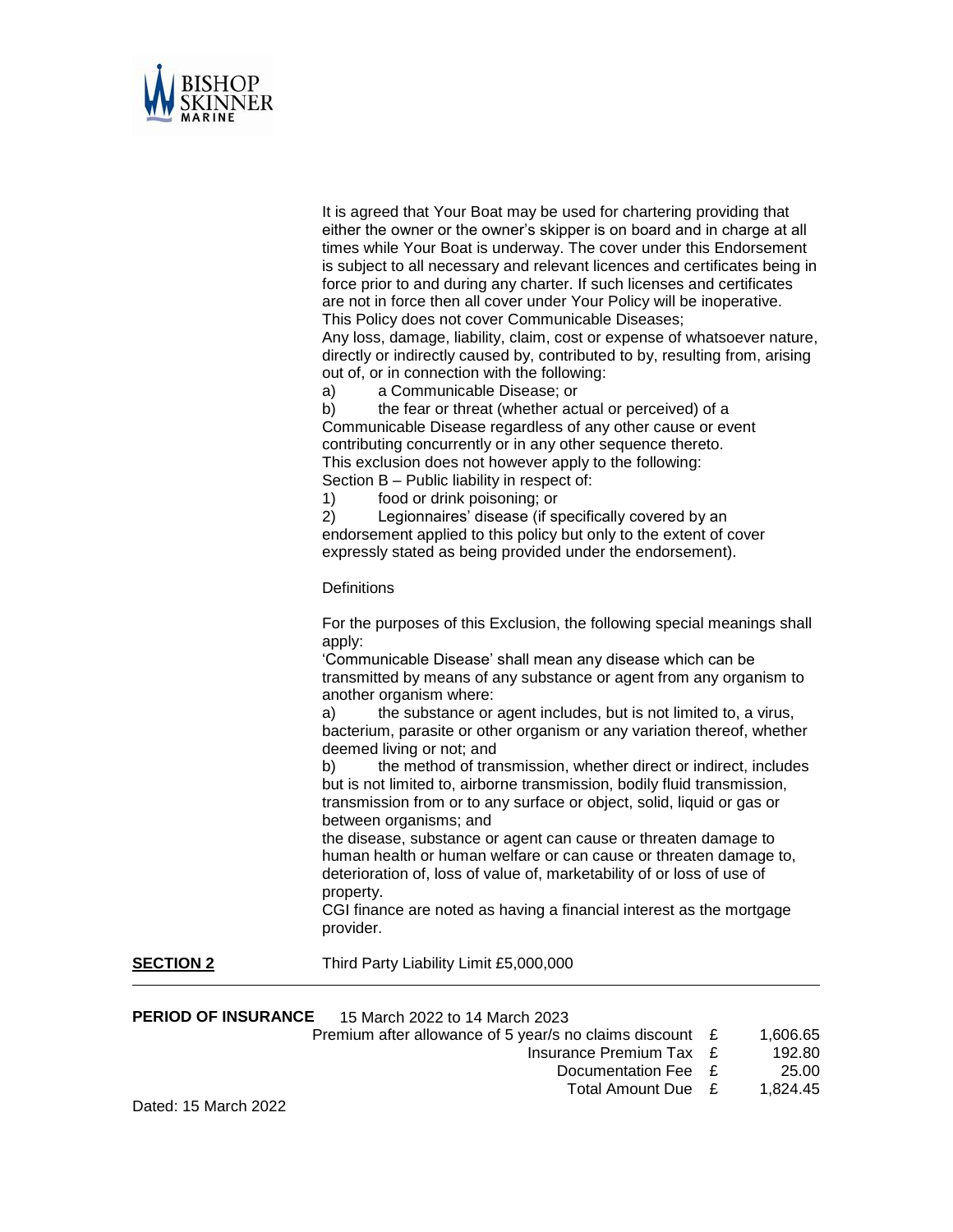

|                            | It is agreed that Your Boat may be used for chartering providing that<br>either the owner or the owner's skipper is on board and in charge at all<br>times while Your Boat is underway. The cover under this Endorsement<br>is subject to all necessary and relevant licences and certificates being in<br>force prior to and during any charter. If such licenses and certificates<br>are not in force then all cover under Your Policy will be inoperative.<br>This Policy does not cover Communicable Diseases;<br>Any loss, damage, liability, claim, cost or expense of whatsoever nature,<br>directly or indirectly caused by, contributed to by, resulting from, arising<br>out of, or in connection with the following:<br>a Communicable Disease; or<br>a)<br>b)<br>the fear or threat (whether actual or perceived) of a<br>Communicable Disease regardless of any other cause or event<br>contributing concurrently or in any other sequence thereto.<br>This exclusion does not however apply to the following:<br>Section B - Public liability in respect of:<br>food or drink poisoning; or<br>1)<br>Legionnaires' disease (if specifically covered by an<br>2)<br>endorsement applied to this policy but only to the extent of cover<br>expressly stated as being provided under the endorsement).<br>Definitions |
|----------------------------|----------------------------------------------------------------------------------------------------------------------------------------------------------------------------------------------------------------------------------------------------------------------------------------------------------------------------------------------------------------------------------------------------------------------------------------------------------------------------------------------------------------------------------------------------------------------------------------------------------------------------------------------------------------------------------------------------------------------------------------------------------------------------------------------------------------------------------------------------------------------------------------------------------------------------------------------------------------------------------------------------------------------------------------------------------------------------------------------------------------------------------------------------------------------------------------------------------------------------------------------------------------------------------------------------------------------------------|
|                            | For the purposes of this Exclusion, the following special meanings shall                                                                                                                                                                                                                                                                                                                                                                                                                                                                                                                                                                                                                                                                                                                                                                                                                                                                                                                                                                                                                                                                                                                                                                                                                                                         |
|                            | apply:<br>'Communicable Disease' shall mean any disease which can be<br>transmitted by means of any substance or agent from any organism to<br>another organism where:<br>the substance or agent includes, but is not limited to, a virus,<br>a)<br>bacterium, parasite or other organism or any variation thereof, whether<br>deemed living or not; and<br>b)<br>the method of transmission, whether direct or indirect, includes<br>but is not limited to, airborne transmission, bodily fluid transmission,<br>transmission from or to any surface or object, solid, liquid or gas or<br>between organisms; and<br>the disease, substance or agent can cause or threaten damage to<br>human health or human welfare or can cause or threaten damage to,<br>deterioration of, loss of value of, marketability of or loss of use of<br>property.<br>CGI finance are noted as having a financial interest as the mortgage<br>provider.                                                                                                                                                                                                                                                                                                                                                                                           |
| <b>SECTION 2</b>           | Third Party Liability Limit £5,000,000                                                                                                                                                                                                                                                                                                                                                                                                                                                                                                                                                                                                                                                                                                                                                                                                                                                                                                                                                                                                                                                                                                                                                                                                                                                                                           |
| <b>PERIOD OF INSURANCE</b> | 15 March 2022 to 14 March 2023<br>Premium after allowance of 5 year/s no claims discount<br>1,606.65<br>£<br><b>Insurance Premium Tax</b><br>192.80<br>£<br>Documentation Fee<br>25.00<br>£<br><b>Total Amount Due</b><br>£<br>1,824.45                                                                                                                                                                                                                                                                                                                                                                                                                                                                                                                                                                                                                                                                                                                                                                                                                                                                                                                                                                                                                                                                                          |

Dated: 15 March 2022